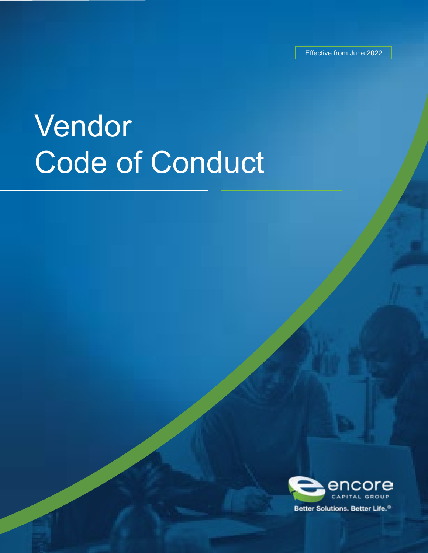Effective from June 2022

# Vendor Code of Conduct

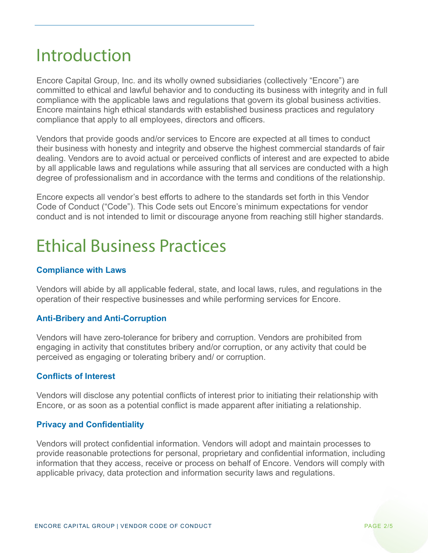### Introduction

Encore Capital Group, Inc. and its wholly owned subsidiaries (collectively "Encore") are committed to ethical and lawful behavior and to conducting its business with integrity and in full compliance with the applicable laws and regulations that govern its global business activities. Encore maintains high ethical standards with established business practices and regulatory compliance that apply to all employees, directors and officers.

Vendors that provide goods and/or services to Encore are expected at all times to conduct their business with honesty and integrity and observe the highest commercial standards of fair dealing. Vendors are to avoid actual or perceived conflicts of interest and are expected to abide by all applicable laws and regulations while assuring that all services are conducted with a high degree of professionalism and in accordance with the terms and conditions of the relationship.

Encore expects all vendor's best efforts to adhere to the standards set forth in this Vendor Code of Conduct ("Code"). This Code sets out Encore's minimum expectations for vendor conduct and is not intended to limit or discourage anyone from reaching still higher standards.

### Ethical Business Practices

#### **Compliance with Laws**

Vendors will abide by all applicable federal, state, and local laws, rules, and regulations in the operation of their respective businesses and while performing services for Encore.

#### **Anti-Bribery and Anti-Corruption**

Vendors will have zero-tolerance for bribery and corruption. Vendors are prohibited from engaging in activity that constitutes bribery and/or corruption, or any activity that could be perceived as engaging or tolerating bribery and/ or corruption.

#### **Conflicts of Interest**

Vendors will disclose any potential conflicts of interest prior to initiating their relationship with Encore, or as soon as a potential conflict is made apparent after initiating a relationship.

#### **Privacy and Confidentiality**

Vendors will protect confidential information. Vendors will adopt and maintain processes to provide reasonable protections for personal, proprietary and confidential information, including information that they access, receive or process on behalf of Encore. Vendors will comply with applicable privacy, data protection and information security laws and regulations.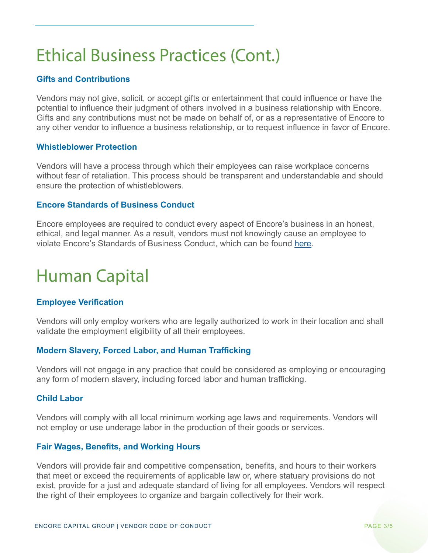# Ethical Business Practices (Cont.)

#### **Gifts and Contributions**

Vendors may not give, solicit, or accept gifts or entertainment that could influence or have the potential to influence their judgment of others involved in a business relationship with Encore. Gifts and any contributions must not be made on behalf of, or as a representative of Encore to any other vendor to influence a business relationship, or to request influence in favor of Encore.

#### **Whistleblower Protection**

Vendors will have a process through which their employees can raise workplace concerns without fear of retaliation. This process should be transparent and understandable and should ensure the protection of whistleblowers.

#### **Encore Standards of Business Conduct**

Encore employees are required to conduct every aspect of Encore's business in an honest, ethical, and legal manner. As a result, vendors must not knowingly cause an employee to violate Encore's Standards of Business Conduct, which can be found [here.](https://www.encorecapital.com/wp-content/uploads/2021/04/Encore-Capital-Group-Standards-of-Business-Conduct-approved-2021-0325.pdf)

# Human Capital

#### **Employee Verification**

Vendors will only employ workers who are legally authorized to work in their location and shall validate the employment eligibility of all their employees.

#### **Modern Slavery, Forced Labor, and Human Trafficking**

Vendors will not engage in any practice that could be considered as employing or encouraging any form of modern slavery, including forced labor and human trafficking.

#### **Child Labor**

Vendors will comply with all local minimum working age laws and requirements. Vendors will not employ or use underage labor in the production of their goods or services.

#### **Fair Wages, Benefits, and Working Hours**

Vendors will provide fair and competitive compensation, benefits, and hours to their workers that meet or exceed the requirements of applicable law or, where statuary provisions do not exist, provide for a just and adequate standard of living for all employees. Vendors will respect the right of their employees to organize and bargain collectively for their work.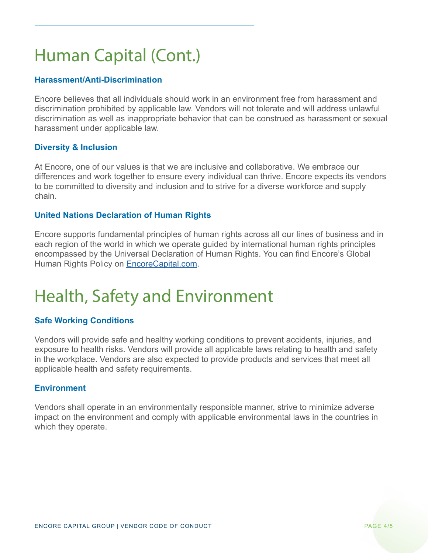# Human Capital (Cont.)

#### **Harassment/Anti-Discrimination**

Encore believes that all individuals should work in an environment free from harassment and discrimination prohibited by applicable law. Vendors will not tolerate and will address unlawful discrimination as well as inappropriate behavior that can be construed as harassment or sexual harassment under applicable law.

#### **Diversity & Inclusion**

At Encore, one of our values is that we are inclusive and collaborative. We embrace our differences and work together to ensure every individual can thrive. Encore expects its vendors to be committed to diversity and inclusion and to strive for a diverse workforce and supply chain.

#### **United Nations Declaration of Human Rights**

Encore supports fundamental principles of human rights across all our lines of business and in each region of the world in which we operate guided by international human rights principles encompassed by the Universal Declaration of Human Rights. You can find Encore's Global Human Rights Policy on **[EncoreCapital.com](http://EncoreCapital.com).** 

### Health, Safety and Environment

#### **Safe Working Conditions**

Vendors will provide safe and healthy working conditions to prevent accidents, injuries, and exposure to health risks. Vendors will provide all applicable laws relating to health and safety in the workplace. Vendors are also expected to provide products and services that meet all applicable health and safety requirements.

#### **Environment**

Vendors shall operate in an environmentally responsible manner, strive to minimize adverse impact on the environment and comply with applicable environmental laws in the countries in which they operate.